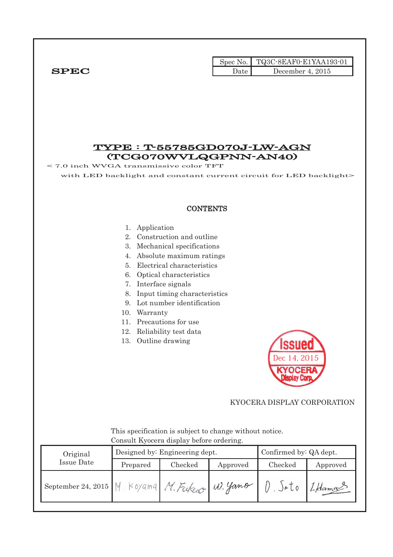|                                                                                                                   |                                                                                           |                                                                                                                                                                                                                                                                                | Spec No. | TQ3C-8EAF0-E1YAA193-01                          |          |
|-------------------------------------------------------------------------------------------------------------------|-------------------------------------------------------------------------------------------|--------------------------------------------------------------------------------------------------------------------------------------------------------------------------------------------------------------------------------------------------------------------------------|----------|-------------------------------------------------|----------|
| ${\bf SPEC}$                                                                                                      |                                                                                           |                                                                                                                                                                                                                                                                                | Date     | December 4, 2015                                |          |
| $\leq$ 7.0 inch WVGA transmissive color TFT<br>with LED backlight and constant current circuit for LED backlight> |                                                                                           | (TCG070WVLQGPNN-AN40)                                                                                                                                                                                                                                                          |          | <b>TYPE : T-55785GD070J-LW-AGN</b>              |          |
|                                                                                                                   |                                                                                           | <b>CONTENTS</b>                                                                                                                                                                                                                                                                |          |                                                 |          |
|                                                                                                                   | 1. Application<br>7. Interface signals<br>8.<br>9.<br>10. Warranty<br>13. Outline drawing | 2. Construction and outline<br>3. Mechanical specifications<br>4. Absolute maximum ratings<br>5. Electrical characteristics<br>6. Optical characteristics<br>Input timing characteristics<br>Lot number identification<br>11. Precautions for use<br>12. Reliability test data |          | <b>Issued</b><br>Dec 14, 2015<br><b>KYOCERA</b> |          |
|                                                                                                                   |                                                                                           | This specification is subject to change without notice.                                                                                                                                                                                                                        |          | KYOCERA DISPLAY CORPORATION                     |          |
|                                                                                                                   |                                                                                           | Consult Kyocera display before ordering.                                                                                                                                                                                                                                       |          |                                                 |          |
| Original                                                                                                          |                                                                                           | Designed by: Engineering dept.                                                                                                                                                                                                                                                 |          | Confirmed by: QA dept.                          |          |
| <b>Issue Date</b>                                                                                                 | Prepared                                                                                  | Checked                                                                                                                                                                                                                                                                        | Approved | Checked                                         | Approved |
| September 24, 2015                                                                                                |                                                                                           | M. Koyama M. Fukcio                                                                                                                                                                                                                                                            | W. Yano  | $0.5$ oto                                       | I Hama   |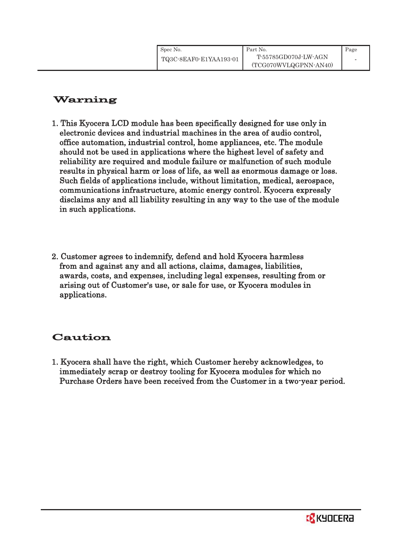## Warning

- 1. This Kyocera LCD module has been specifically designed for use only in electronic devices and industrial machines in the area of audio control, office automation, industrial control, home appliances, etc. The module should not be used in applications where the highest level of safety and reliability are required and module failure or malfunction of such module results in physical harm or loss of life, as well as enormous damage or loss. Such fields of applications include, without limitation, medical, aerospace, communications infrastructure, atomic energy control. Kyocera expressly disclaims any and all liability resulting in any way to the use of the module in such applications.
- 2. Customer agrees to indemnify, defend and hold Kyocera harmless from and against any and all actions, claims, damages, liabilities, awards, costs, and expenses, including legal expenses, resulting from or arising out of Customer's use, or sale for use, or Kyocera modules in applications.

# Caution

1. Kyocera shall have the right, which Customer hereby acknowledges, to immediately scrap or destroy tooling for Kyocera modules for which no Purchase Orders have been received from the Customer in a two-year period.

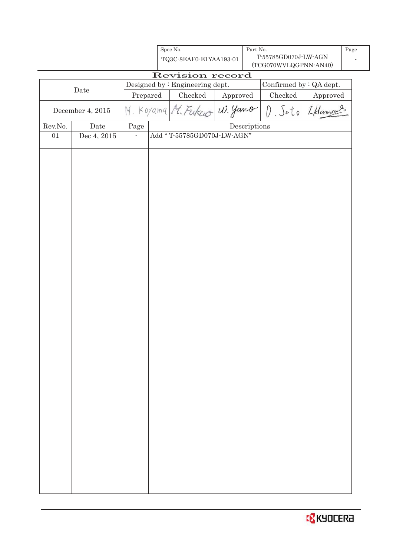|         |                  |                          | Spec No.<br>TQ3C-8EAF0-E1YAA193-01 |          | Part No.     | T-55785GD070J-LW-AGN<br>(TCG070WVLQGPNN-AN40) |              | Page |
|---------|------------------|--------------------------|------------------------------------|----------|--------------|-----------------------------------------------|--------------|------|
|         |                  |                          | Revision record                    |          |              |                                               |              |      |
|         | $\rm{Date}$      |                          | Designed by : Engineering dept.    |          |              | Confirmed by $:QA$ dept.                      |              |      |
|         |                  | Prepared                 | Checked                            | Approved |              | $\rm Checked$                                 | Approved     |      |
|         | December 4, 2015 |                          | M. Koyama M. Fukceo W. yamo        |          |              | $\hat{U}$                                     | Sato LHamans |      |
| Rev.No. | Date             | Page                     |                                    |          | Descriptions |                                               |              |      |
| $01\,$  | Dec 4, 2015      | $\overline{\phantom{a}}$ | Add "T-55785GD070J-LW-AGN"         |          |              |                                               |              |      |
|         |                  |                          |                                    |          |              |                                               |              |      |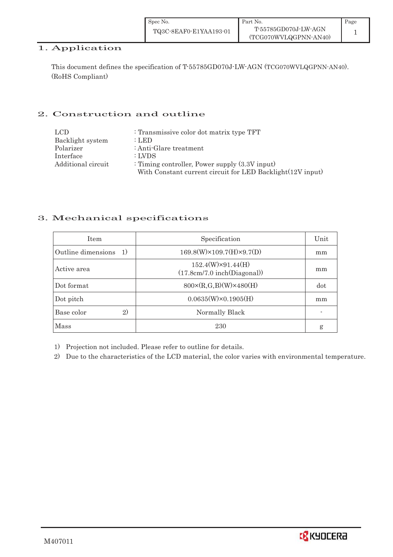| Spec No.               | Part No.              | Page |
|------------------------|-----------------------|------|
| TQ3C-8EAF0-E1YAA193-01 | T-55785GD070J-LW-AGN  |      |
|                        | (TCG070WVLQGPNN-AN40) |      |

# 1. Application

This document defines the specification of T-55785GD070J-LW-AGN (TCG070WVLQGPNN-AN40). (RoHS Compliant)

## 2. Construction and outline

| LCD.               | : Transmissive color dot matrix type TFT                   |
|--------------------|------------------------------------------------------------|
| Backlight system   | $:$ LED                                                    |
| Polarizer          | : Anti-Glare treatment                                     |
| Interface          | : LVDS                                                     |
| Additional circuit | : Timing controller, Power supply $(3.3V)$ input)          |
|                    | With Constant current circuit for LED Backlight(12V input) |

## 3. Mechanical specifications

| <b>Item</b>                | Specification                                           | Unit |
|----------------------------|---------------------------------------------------------|------|
| Outline dimensions 1)      | $169.8(W)\times 109.7(H)\times 9.7(D)$                  | mm   |
| Active area                | $152.4(W)\times91.44(H)$<br>(17.8cm/7.0 inch(Diagonal)) | mm   |
| Dot format                 | $800 \times (R, G, B)(W) \times 480(H)$                 | dot  |
| Dot pitch                  | $0.0635(W)\times0.1905(H)$                              | mm   |
| $\mathbf{2}$<br>Base color | Normally Black                                          |      |
| Mass                       | 230                                                     | g    |

1) Projection not included. Please refer to outline for details.

2) Due to the characteristics of the LCD material, the color varies with environmental temperature.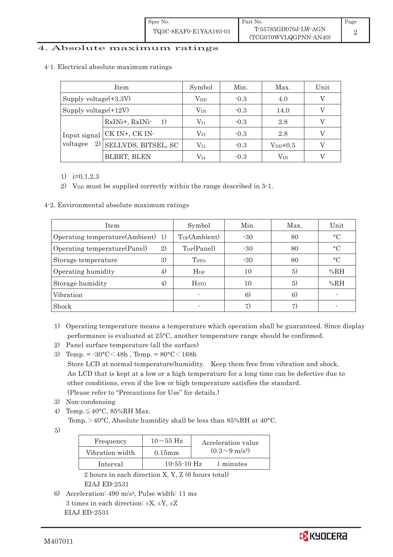#### 4. Absolute maximum ratings

#### 4-1. Electrical absolute maximum ratings

|                                | Item                                     | Symbol       | Min.   | Max.          | Unit |
|--------------------------------|------------------------------------------|--------------|--------|---------------|------|
| Supply voltage(+3.3V)          |                                          | $\rm V_{DD}$ | $-0.3$ | 4.0           |      |
|                                | Supply voltage(+12V)<br>$\rm V_{\rm IN}$ |              | $-0.3$ | 14.0          |      |
| Input signal<br>2)<br>voltagee | RxINi+, RxINi-<br>1)                     | $\rm V_{11}$ | $-0.3$ | 2.8           |      |
|                                | CK IN+, CK IN-                           | $\rm V_{I2}$ | $-0.3$ | 2.8           |      |
|                                | SELLVDS, BITSEL, SC                      | $\rm V_{I3}$ | $-0.3$ | $V_{DD}$ +0.5 |      |
|                                | <b>BLBRT, BLEN</b>                       | V14          | $-0.3$ | Vin           |      |

#### 1) i=0,1,2,3

2) V<sub>DD</sub> must be supplied correctly within the range described in 5-1.

#### 4-2. Environmental absolute maximum ratings

| Item                              |    | Symbol                     | Min.  | Max. | Unit            |
|-----------------------------------|----|----------------------------|-------|------|-----------------|
| Operating temperature(Ambient) 1) |    | Top(Ambient)               | $-30$ | 80   | $\rm ^{\circ}C$ |
| Operating temperature (Panel)     | 2) | $\text{Top}(\text{Panel})$ | $-30$ | 80   | $\circ$ C       |
| Storage temperature               | 3) | T <sub>STO</sub>           | $-30$ | 80   | $\rm ^{\circ}C$ |
| Operating humidity                | 4) | Hop                        | 10    | 5)   | %RH             |
| Storage humidity                  | 4) | <b>H</b> <sub>STO</sub>    | 10    | 5)   | %RH             |
| Vibration                         |    |                            | 6)    | 6)   |                 |
| Shock                             |    |                            | 7)    |      |                 |

- 1) Operating temperature means a temperature which operation shall be guaranteed. Since display performance is evaluated at 25°C, another temperature range should be confirmed.
- 2) Panel surface temperature (all the surface)
- 3) Temp. =  $-30^{\circ}$ C $<$ 48h, Temp. =  $80^{\circ}$ C $<$ 168h Store LCD at normal temperature/humidity. Keep them free from vibration and shock. An LCD that is kept at a low or a high temperature for a long time can be defective due to other conditions, even if the low or high temperature satisfies the standard. (Please refer to "Precautions for Use" for details.)
- 3) Non-condensing
- 4) Temp.  $\leq 40^{\circ}$ C, 85%RH Max.
	- Temp. $>$ 40°C, Absolute humidity shall be less than 85%RH at 40°C.

5)

| Frequency       | $10\sim 55$ Hz | Acceleration value         |
|-----------------|----------------|----------------------------|
| Vibration width | $0.15$ mm      | $(0.3{\sim}9~{\rm m/s^2})$ |
| Interval        | $10-55-10$ Hz  | 1 minutes                  |

 2 hours in each direction X, Y, Z (6 hours total) EIAJ ED-2531

6) Acceleration: 490 m/s2, Pulse width: 11 ms 3 times in each direction:  $\pm X$ ,  $\pm Y$ ,  $\pm Z$ EIAJ ED-2531

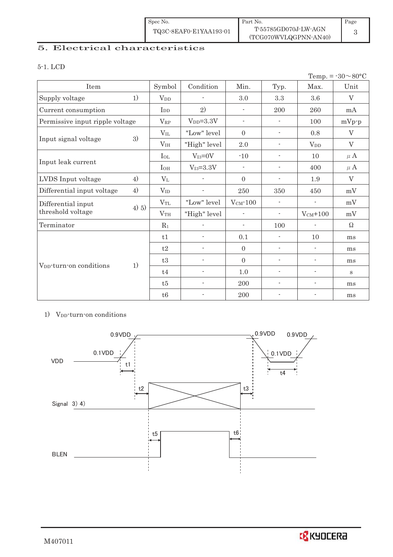| Spec No.               | Part No.                                      | Page |
|------------------------|-----------------------------------------------|------|
| TQ3C-8EAF0-E1YAA193-01 | T-55785GD070J-LW-AGN<br>(TCG070WVLQGPNN-AN40) |      |

## 5. Electrical characteristics

#### 5-1. LCD

|                                     |       |                        |                          |                          |                          |                          | Temp. = $-30 \sim 80$ °C |
|-------------------------------------|-------|------------------------|--------------------------|--------------------------|--------------------------|--------------------------|--------------------------|
| Item                                |       | Symbol                 | Condition                | Min.                     | Typ.                     | Max.                     | Unit                     |
| Supply voltage                      | 1)    | <b>V</b> <sub>DD</sub> |                          | 3.0                      | 3.3                      | 3.6                      | V                        |
| Current consumption                 |       | $I_{DD}$               | 2)                       | $\overline{\phantom{a}}$ | 200                      | 260                      | mA                       |
| Permissive input ripple voltage     |       | $V_{RP}$               | $V_{DD} = 3.3V$          | $\overline{\phantom{a}}$ | $\overline{\phantom{0}}$ | 100                      | $mVp-p$                  |
|                                     |       | $V_{IL}$               | "Low" level              | $\overline{0}$           | $\overline{\phantom{a}}$ | 0.8                      | $\mathbf{V}$             |
| Input signal voltage                | 3)    | V <sub>IH</sub>        | "High" level             | $2.0\,$                  | ٠                        | $V_{DD}$                 | $\rm V$                  |
|                                     |       | $_{\rm IoL}$           | $V_{I3}=0V$              | $-10$                    | $\overline{\phantom{a}}$ | 10                       | $\mu$ A                  |
| Input leak current                  |       | $I_{OH}$               | $V_{I3} = 3.3V$          | $\overline{\phantom{a}}$ | $\overline{\phantom{a}}$ | 400                      | $\mu$ A                  |
| LVDS Input voltage                  | 4)    | $V_{L}$                |                          | $\Omega$                 | $\overline{\phantom{a}}$ | 1.9                      | V                        |
| Differential input voltage          | 4)    | $V_{ID}$               |                          | 250                      | 350                      | 450                      | mV                       |
| Differential input                  |       | $V_{TL}$               | "Low" level              | $VCM$ -100               | $\overline{\phantom{a}}$ | $\overline{\phantom{a}}$ | mV                       |
| threshold voltage                   | 4) 5) | V <sub>TH</sub>        | "High" level             | $\overline{a}$           | $\overline{\phantom{a}}$ | $V_{CM}$ +100            | mV                       |
| Terminator                          |       | $R_1$                  |                          | $\overline{\phantom{a}}$ | 100                      | $\overline{\phantom{a}}$ | $\Omega$                 |
|                                     |       | t1                     | $\overline{a}$           | 0.1                      | $\overline{\phantom{a}}$ | 10                       | ms                       |
|                                     |       | t2                     | ÷,                       | $\overline{0}$           | $\overline{\phantom{a}}$ | $\overline{\phantom{a}}$ | ms                       |
| V <sub>DD</sub> -turn-on conditions |       | t3                     | $\overline{\phantom{0}}$ | $\Omega$                 | $\overline{\phantom{a}}$ | $\overline{\phantom{a}}$ | ms                       |
|                                     | 1)    | t4                     |                          | 1.0                      | $\overline{a}$           | $\blacksquare$           | $\bf S$                  |
|                                     |       | t5                     |                          | 200                      | $\overline{a}$           | $\overline{a}$           | ms                       |
|                                     |       | t6                     |                          | 200                      |                          | $\overline{\phantom{a}}$ | ms                       |

#### 1) V<sub>DD</sub>-turn-on conditions

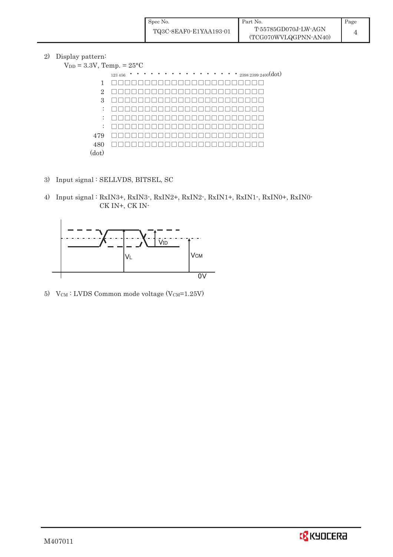| Spec No.               | Part No.                                      | Page |
|------------------------|-----------------------------------------------|------|
| TQ3C-8EAF0-E1YAA193-01 | T-55785GD070J-LW-AGN<br>(TCG070WVLQGPNN-AN40) |      |

2) Display pattern:

|                | $\cdots$ 2398 2399 2400(dot)<br>$\bullet$<br>123 456 |
|----------------|------------------------------------------------------|
| $\mathbf{1}$   |                                                      |
| $\overline{2}$ |                                                      |
| 3              |                                                      |
| ÷              |                                                      |
| ÷              |                                                      |
| ÷              | $\mathbf{H}$<br>$   \cdot    \cdot    \cdot   $      |
| 479            |                                                      |
| 480            |                                                      |
| (dot)          |                                                      |

- 3) Input signal : SELLVDS, BITSEL, SC
- 4) Input signal : RxIN3+, RxIN3-, RxIN2+, RxIN2-, RxIN1+, RxIN1-, RxIN0+, RxIN0- CK IN+, CK IN-



5)  $V_{CM}$ : LVDS Common mode voltage (V $_{CM}$ =1.25V)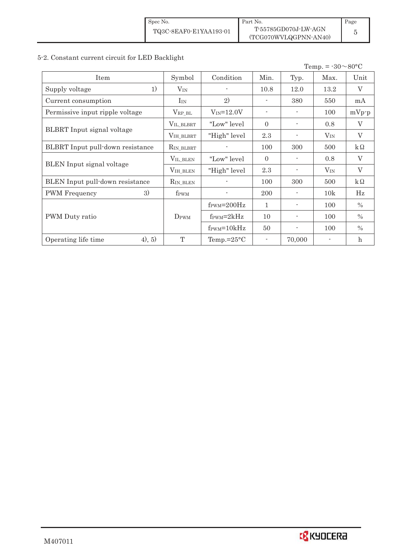## 5-2. Constant current circuit for LED Backlight

Temp. =  $-30 \sim 80$ °C

| Item                              | Symbol             | Condition                        | Min.         | Typ.                     | Max.     | Unit                      |
|-----------------------------------|--------------------|----------------------------------|--------------|--------------------------|----------|---------------------------|
| 1)<br>Supply voltage              | $V_{IN}$           |                                  | 10.8         | 12.0                     | 13.2     | V                         |
| Current consumption               | $I_{IN}$           | 2)                               |              | 380                      | 550      | mA                        |
| Permissive input ripple voltage   | $V_{RP\_BL}$       | $V_{IN} = 12.0V$                 |              |                          | 100      | $mVp-p$                   |
|                                   | VIL_BLBRT          | "Low" level"                     | $\Omega$     |                          | 0.8      | $\rm V$                   |
| <b>BLBRT</b> Input signal voltage | VIH_BLBRT          | "High" level                     | 2.3          |                          | $V_{IN}$ | $\rm V$                   |
| BLBRT Input pull-down resistance  | $R_{IN\_BLBRT}$    |                                  | 100          | 300                      | 500      | $k\Omega$                 |
|                                   | VIL_BLEN           | "Low" level"                     | $\Omega$     |                          | 0.8      | $\rm V$                   |
| <b>BLEN</b> Input signal voltage  | $\rm V_{IH\_BLEN}$ | "High" level                     | 2.3          |                          | $V_{IN}$ | $\rm V$                   |
| BLEN Input pull-down resistance   | $R_{IN\_BLEN}$     |                                  | 100          | 300                      | 500      | $k\Omega$                 |
| 3)<br>PWM Frequency               | f <sub>PWM</sub>   |                                  | 200          |                          | 10k      | Hz                        |
|                                   |                    | $f_{\text{PWM}} = 200 \text{Hz}$ | $\mathbf{1}$ | -                        | 100      | $\frac{0}{0}$             |
| PWM Duty ratio                    | $D_{\rm PWM}$      | $f_{\text{PWM}}=2kHz$            | 10           | $\overline{\phantom{a}}$ | 100      | $\frac{0}{0}$             |
|                                   |                    | $f_{\text{PWM}} = 10kHz$         | 50           | $\overline{\phantom{a}}$ | 100      | $\frac{0}{0}$             |
| (4), 5)<br>Operating life time    | T                  | Temp.= $25^{\circ}$ C            |              | 70,000                   |          | $\boldsymbol{\mathrm{h}}$ |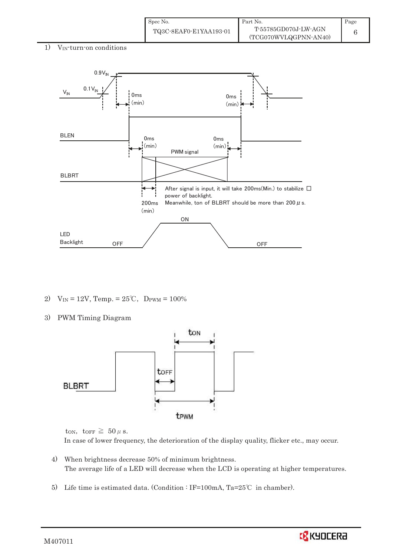| Spec No.               | Part No.              | Page |
|------------------------|-----------------------|------|
| TQ3C-8EAF0-E1YAA193-01 | T-55785GD070J-LW-AGN  |      |
|                        | (TCG070WVLQGPNN-AN40) |      |

1) VIN-turn-on conditions



- 2)  $V_{IN} = 12V$ , Temp. =  $25^{\circ}C$ ,  $D_{PWM} = 100\%$
- 3) PWM Timing Diagram



ton, torr  $\geq 50 \mu$  s. In case of lower frequency, the deterioration of the display quality, flicker etc., may occur.

- 4) When brightness decrease 50% of minimum brightness. The average life of a LED will decrease when the LCD is operating at higher temperatures.
- 5) Life time is estimated data. (Condition : IF=100mA, Ta=25°C in chamber).



M407011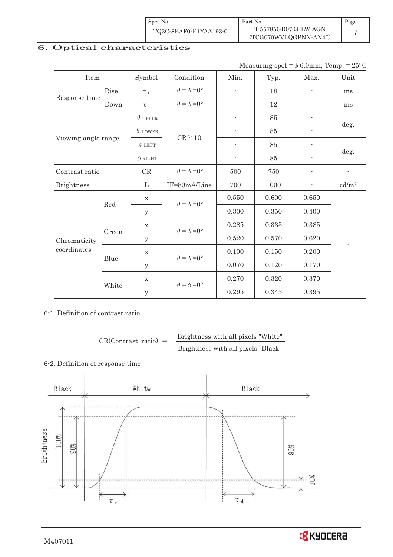| Spec No.               | Part No.              | Page |
|------------------------|-----------------------|------|
| TQ3C-8EAF0-E1YAA193-01 | T-55785GD070J-LW-AGN  |      |
|                        | (TCG070WVLQGPNN-AN40) |      |

## 6. Optical characteristics

Measuring spot =  $\phi$  6.0mm, Temp. = 25°C

| Item                        |       | Symbol         | Condition                   | Min.                     | Typ.  | Max.                     | Unit              |  |
|-----------------------------|-------|----------------|-----------------------------|--------------------------|-------|--------------------------|-------------------|--|
|                             | Rise  | $\tau_r$       | $\theta = \phi = 0^{\circ}$ |                          | 18    |                          | ms                |  |
| Response time               | Down  | T d            | $\theta = \phi = 0^{\circ}$ | $\overline{\phantom{a}}$ | 12    |                          | ms                |  |
|                             |       | $\theta$ UPPER |                             |                          | 85    |                          |                   |  |
|                             |       | $\theta$ LOWER |                             | $\overline{a}$           | 85    |                          | deg.              |  |
| Viewing angle range         |       | $\phi$ LEFT    | $CR \ge 10$                 | $\overline{\phantom{a}}$ | 85    | $\overline{\phantom{a}}$ |                   |  |
|                             |       | $\phi$ RIGHT   |                             | $\overline{\phantom{a}}$ | 85    | $\overline{\phantom{a}}$ | deg.              |  |
| Contrast ratio              |       | CR             | $\theta = \phi = 0^{\circ}$ | 500                      | 750   |                          |                   |  |
| <b>Brightness</b>           |       | L              | IF=80mA/Line                | 700                      | 1000  |                          | cd/m <sup>2</sup> |  |
| Red                         |       | $\mathbf X$    | $\theta = \phi = 0^{\circ}$ | 0.550                    | 0.600 | 0.650                    |                   |  |
|                             |       | y              |                             | 0.300                    | 0.350 | 0.400                    |                   |  |
|                             |       | $\mathbf X$    |                             | 0.285                    | 0.335 | 0.385                    |                   |  |
| Chromaticity<br>coordinates | Green | $\mathbf{y}$   | $\theta = \phi = 0^{\circ}$ | 0.520                    | 0.570 | 0.620                    |                   |  |
|                             | Blue  | $\mathbf X$    |                             | 0.100                    | 0.150 | 0.200                    |                   |  |
|                             |       | у              | $\theta = \phi = 0^{\circ}$ | 0.070                    | 0.120 | 0.170                    |                   |  |
|                             |       | $\mathbf X$    |                             | 0.270                    | 0.320 | 0.370                    |                   |  |
|                             | White | $\mathbf y$    | $\theta = \phi = 0^{\circ}$ | 0.295                    | 0.345 | 0.395                    |                   |  |

6-1. Definition of contrast ratio

 $CR(Contrast ratio) =$ Brightness with all pixels "White" Brightness with all pixels "Black"

### 6-2. Definition of response time

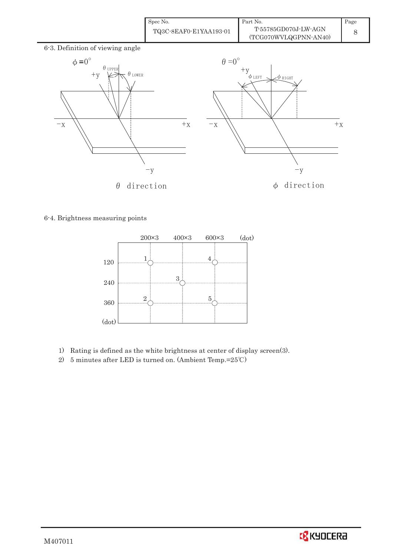| Spec No.               | Part No.                                      | Page |
|------------------------|-----------------------------------------------|------|
| TQ3C-8EAF0-E1YAA193-01 | T-55785GD070J-LW-AGN<br>(TCG070WVLQGPNN-AN40) |      |





6-4. Brightness measuring points



- 1) Rating is defined as the white brightness at center of display screen(3).
- 2) 5 minutes after LED is turned on. (Ambient Temp.= $25^{\circ}$ C)

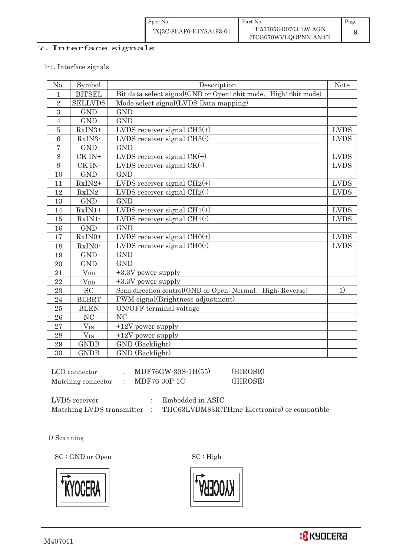# 7. Interface signals

#### 7-1. Interface signals

| No.             | Symbol                                   | Description                                                     | <b>Note</b> |
|-----------------|------------------------------------------|-----------------------------------------------------------------|-------------|
| $\mathbf{1}$    | <b>BITSEL</b>                            | Bit data select signal(GND or Open: 8bit mode, High: 6bit mode) |             |
| $\overline{2}$  | <b>SELLVDS</b>                           | Mode select signal(LVDS Data mapping)                           |             |
| 3               | <b>GND</b>                               | <b>GND</b>                                                      |             |
| $\overline{4}$  | <b>GND</b>                               | <b>GND</b>                                                      |             |
| $\overline{5}$  | RxIN3+                                   | LVDS receiver signal $CH3(+)$                                   | <b>LVDS</b> |
| $6\phantom{1}6$ | RxIN3-                                   | LVDS receiver signal $CH3$ ( $\cdot$ )                          | <b>LVDS</b> |
| $\overline{7}$  | <b>GND</b>                               | <b>GND</b>                                                      |             |
| 8               | CK IN+                                   | LVDS receiver signal $CK(+)$                                    | <b>LVDS</b> |
| $\overline{9}$  | CK IN-                                   | LVDS receiver signal $CK(\cdot)$                                | <b>LVDS</b> |
| 10              | <b>GND</b>                               | <b>GND</b>                                                      |             |
| 11              | RxIN2+                                   | LVDS receiver signal $CH2(+)$                                   | <b>LVDS</b> |
| 12              | RxIN2-                                   | LVDS receiver signal $CH2(\cdot)$                               | <b>LVDS</b> |
| 13              | <b>GND</b>                               | <b>GND</b>                                                      |             |
| 14              | $RxIN1+$                                 | LVDS receiver signal $CH1(+)$                                   | <b>LVDS</b> |
| 15              | RxIN1-                                   | LVDS receiver signal $CH1(\cdot)$                               | <b>LVDS</b> |
| 16              | <b>GND</b>                               | <b>GND</b>                                                      |             |
| 17              | RxIN0+                                   | LVDS receiver signal $CHO(+)$                                   | <b>LVDS</b> |
| 18              | RxIN0-                                   | LVDS receiver signal $CHO(·)$                                   | <b>LVDS</b> |
| 19              | <b>GND</b>                               | <b>GND</b>                                                      |             |
| 20              | <b>GND</b>                               | <b>GND</b>                                                      |             |
| 21              | $V_{DD}$                                 | +3.3V power supply                                              |             |
| 22              | $\ensuremath{\text{V}}\xspace_\text{DD}$ | +3.3V power supply                                              |             |
| 23              | <b>SC</b>                                | Scan direction control(GND or Open: Normal, High: Reverse)      | 1)          |
| 24              | <b>BLBRT</b>                             | PWM signal(Brightness adjustment)                               |             |
| $25\,$          | <b>BLEN</b>                              | ON/OFF terminal voltage                                         |             |
| 26              | N <sub>C</sub>                           | N <sub>C</sub>                                                  |             |
| 27              | $V_{\rm IN}$                             | $+12V$ power supply                                             |             |
| 28              | $V_{IN}$                                 | $+12V$ power supply                                             |             |
| 29              | <b>GNDB</b>                              | GND (Backlight)                                                 |             |
| 30              | <b>GNDB</b>                              | GND (Backlight)                                                 |             |

| LCD connector      | MDF76GW-30S-1H(55) | (HIROSE) |
|--------------------|--------------------|----------|
| Matching connector | MDF76-30P-1C       | (HIROSE) |

| LVDS receiver             | Embedded in ASIC                              |
|---------------------------|-----------------------------------------------|
| Matching LVDS transmitter | THC63LVDM83R(THine Electronics) or compatible |

1) Scanning

SC : GND or Open SC : High





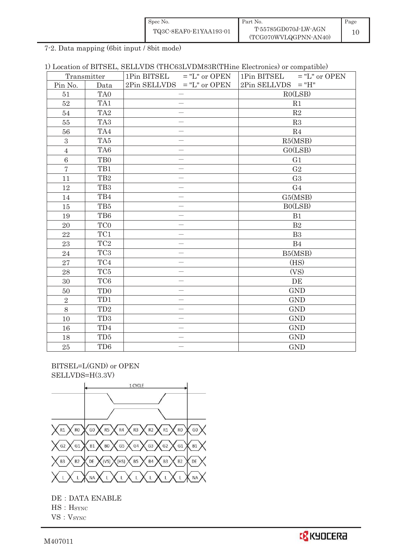| Spec No.               | Part No.                                      | Page |
|------------------------|-----------------------------------------------|------|
| TQ3C-8EAF0-E1YAA193-01 | T-55785GD070J-LW-AGN<br>(TCG070WVLQGPNN-AN40) | 10   |

7-2. Data mapping (6bit input / 8bit mode)

1) Location of BITSEL, SELLVDS (THC63LVDM83R(THine Electronics) or compatible)

|                | Transmitter                 | 1Pin BITSEL $=$ "L" or OPEN  | $=$ "L" or OPEN<br>1Pin BITSEL |
|----------------|-----------------------------|------------------------------|--------------------------------|
| Pin No.        | Data                        | $2Pin$ SELLVDS = "L" or OPEN | $2Pin$ SELLVDS = "H"           |
| 51             | TA0                         | $\overline{\phantom{0}}$     | RO(LSB)                        |
| $52\,$         | TA1                         | $\overline{\phantom{0}}$     | R1                             |
| 54             | TA <sub>2</sub>             | $\overline{\phantom{0}}$     | R2                             |
| 55             | TA <sub>3</sub>             |                              | R3                             |
| 56             | TA4                         |                              | R <sub>4</sub>                 |
| 3              | TA5                         |                              | R5(MSB)                        |
| $\overline{4}$ | TA6                         |                              | GO(LSB)                        |
| $6\phantom{a}$ | TB <sub>0</sub>             |                              | G1                             |
| $\overline{7}$ | TB1                         |                              | G <sub>2</sub>                 |
| 11             | TB <sub>2</sub>             |                              | G <sub>3</sub>                 |
| 12             | TB <sub>3</sub>             |                              | G <sub>4</sub>                 |
| 14             | TB4                         |                              | G5(MSB)                        |
| 15             | TB5                         |                              | B0(LSB)                        |
| 19             | TB6                         | $\overline{\phantom{0}}$     | B1                             |
| 20             | TC <sub>0</sub>             |                              | B2                             |
| 22             | TC1                         |                              | B <sub>3</sub>                 |
| 23             | TC <sub>2</sub>             |                              | B4                             |
| 24             | TC <sub>3</sub>             | $\overline{\phantom{0}}$     | B5(MSB)                        |
| 27             | $\mathrm{T}\mathrm{C}4$     |                              | (HS)                           |
| 28             | TC5                         |                              | (VS)                           |
| 30             | TC <sub>6</sub>             |                              | DE                             |
| 50             | T <sub>D</sub> <sub>0</sub> | $\overline{\phantom{0}}$     | <b>GND</b>                     |
| $\overline{2}$ | TD1                         |                              | <b>GND</b>                     |
| 8              | TD <sub>2</sub>             |                              | <b>GND</b>                     |
| 10             | TD <sub>3</sub>             |                              | <b>GND</b>                     |
| 16             | TD4                         | $\overline{\phantom{0}}$     | <b>GND</b>                     |
| 18             | TD <sub>5</sub>             |                              | <b>GND</b>                     |
| $25\,$         | TD <sub>6</sub>             | $\overline{\phantom{0}}$     | <b>GND</b>                     |

 BITSEL=L(GND) or OPEN SELLVDS=H(3.3V)



DE : DATA ENABLE  $\operatorname{HS}$  :  $\operatorname{HSTNC}$ 

VS: VSYNC

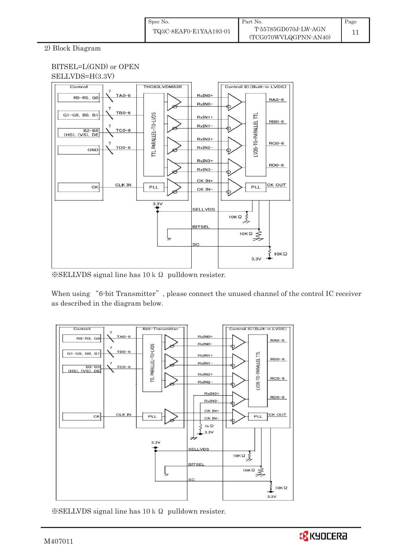2) Block Diagram

## BITSEL=L(GND) or OPEN SELLVDS=H(3.3V)



 $\&$  SELLVDS signal line has 10 k  $\Omega$  pulldown resister.

When using "6-bit Transmitter", please connect the unused channel of the control IC receiver as described in the diagram below.



 $\frac{1}{2}$ SELLVDS signal line has 10 k  $\Omega$  pulldown resister.

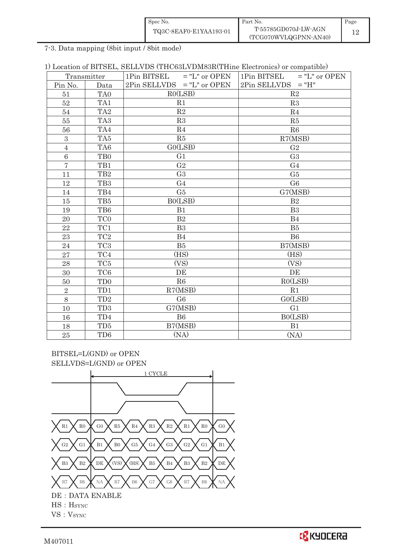| Spec No.               | Part No.                                      | Page |
|------------------------|-----------------------------------------------|------|
| TQ3C-8EAF0-E1YAA193-01 | T-55785GD070J-LW-AGN<br>(TCG070WVLQGPNN-AN40) |      |

7-3. Data mapping (8bit input / 8bit mode)

|  |  |  |  | 1) Location of BITSEL, SELLVDS (THC63LVDM83R(THine Electronics) or compatible) |  |  |
|--|--|--|--|--------------------------------------------------------------------------------|--|--|
|--|--|--|--|--------------------------------------------------------------------------------|--|--|

| Transmitter    |                 | 1Pin BITSEL<br>$=$ "L" or OPEN | 1Pin BITSEL $=$ "L" or OPEN |  |  |
|----------------|-----------------|--------------------------------|-----------------------------|--|--|
| Pin No.        | Data            | $2Pin$ SELLVDS = "L" or OPEN   | $2Pin$ SELLVDS = "H"        |  |  |
| 51             | TA <sub>0</sub> | RO(LSB)                        | R2                          |  |  |
| 52             | TA1             | R1                             | R3                          |  |  |
| 54             | TA <sub>2</sub> | $\mathbf{R}2$                  | R <sub>4</sub>              |  |  |
| 55             | TA <sub>3</sub> | R3                             | R5                          |  |  |
| 56             | TA4             | R <sub>4</sub>                 | R6                          |  |  |
| 3              | TA <sub>5</sub> | R5                             | R7(MSB)                     |  |  |
| $\overline{4}$ | TA6             | GO(LSB)                        | G <sub>2</sub>              |  |  |
| 6              | T <sub>B0</sub> | G <sub>1</sub>                 | G <sub>3</sub>              |  |  |
| $\overline{7}$ | TB1             | G <sub>2</sub>                 | G <sub>4</sub>              |  |  |
| 11             | TB <sub>2</sub> | G <sub>3</sub>                 | G5                          |  |  |
| 12             | TB <sub>3</sub> | G <sub>4</sub>                 | G <sub>6</sub>              |  |  |
| 14             | TB4             | G5                             | G7(MSB)                     |  |  |
| 15             | TB5             | BO(LSB)                        | B <sub>2</sub>              |  |  |
| 19             | TB6             | B1                             | B <sub>3</sub>              |  |  |
| 20             | TC <sub>0</sub> | B <sub>2</sub>                 | B <sub>4</sub>              |  |  |
| 22             | TC1             | B <sub>3</sub>                 | B5                          |  |  |
| 23             | TC <sub>2</sub> | B <sub>4</sub>                 | B <sub>6</sub>              |  |  |
| 24             | TC <sub>3</sub> | B5                             | B7(MSB)                     |  |  |
| 27             | TC4             | (HS)                           | (HS)                        |  |  |
| 28             | TC <sub>5</sub> | (VS)                           | (VS)                        |  |  |
| 30             | TC <sub>6</sub> | DE                             | DE                          |  |  |
| 50             | TD <sub>0</sub> | R6                             | RO(LSB)                     |  |  |
| $\overline{2}$ | TD1             | R7(MSB)                        | R1                          |  |  |
| 8              | TD <sub>2</sub> | G <sub>6</sub>                 | GO(LSB)                     |  |  |
| 10             | TD <sub>3</sub> | G7(MSB)                        | G <sub>1</sub>              |  |  |
| 16             | TD4             | <b>B6</b>                      | B0(LSB)                     |  |  |
| 18             | TD <sub>5</sub> | B7(MSB)                        | B1                          |  |  |
| 25             | TD <sub>6</sub> | (NA)                           | (NA)                        |  |  |

BITSEL=L(GND) or OPEN SELLVDS=L(GND) or OPEN



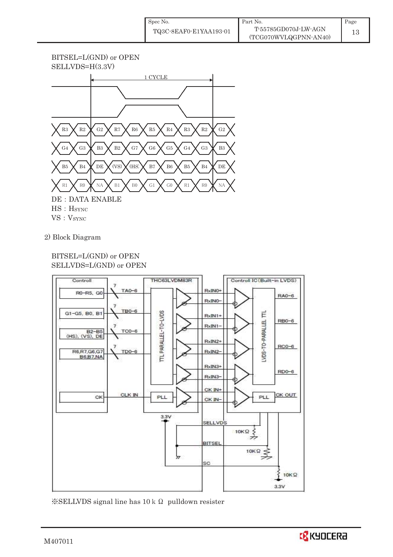



VS: V<sub>SYNC</sub>

2) Block Diagram

## BITSEL=L(GND) or OPEN SELLVDS=L(GND) or OPEN



 $\frac{1}{2}$ SELLVDS signal line has 10 k  $\Omega$  pulldown resister

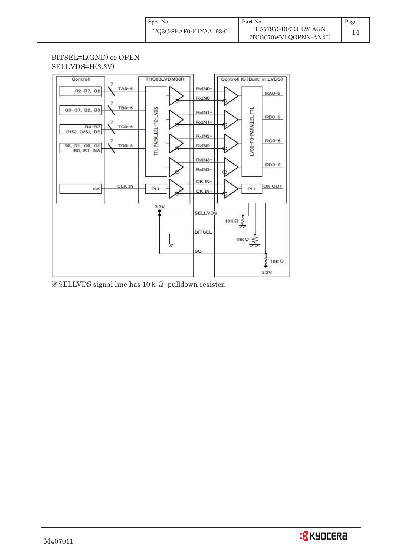## BITSEL=L(GND) or OPEN SELLVDS=H(3.3V)



 $\&$  SELLVDS signal line has 10 k  $\Omega$  pulldown resister.

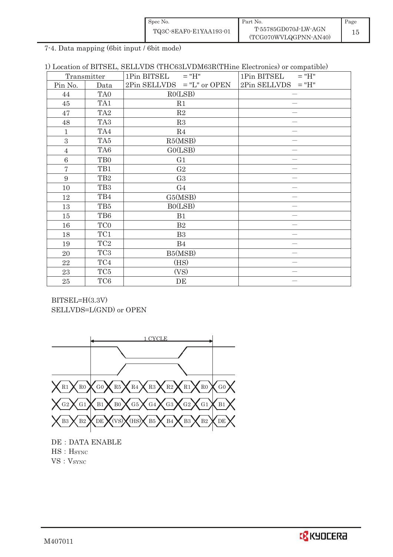| Spec No.               | Part No.                                      | Page |
|------------------------|-----------------------------------------------|------|
| TQ3C-8EAF0-E1YAA193-01 | T-55785GD070J-LW-AGN<br>(TCG070WVLQGPNN-AN40) |      |

7-4. Data mapping (6bit input / 6bit mode)

|  |  |  | 1) Location of BITSEL, SELLVDS (THC63LVDM63R(THine Electronics) or compatible) |  |  |
|--|--|--|--------------------------------------------------------------------------------|--|--|
|--|--|--|--------------------------------------------------------------------------------|--|--|

|                | Transmitter     | $1Pin$ BITSEL = "H"          | 1Pin BITSEL<br>$= "H"$ |  |
|----------------|-----------------|------------------------------|------------------------|--|
| Pin No.        | Data            | $2Pin$ SELLVDS = "L" or OPEN | $2Pin$ SELLVDS = "H"   |  |
| 44             | TA <sub>0</sub> | RO(LSB)                      |                        |  |
| 45             | TA <sub>1</sub> | R1                           |                        |  |
| 47             | TA <sub>2</sub> | R2                           |                        |  |
| 48             | TA <sub>3</sub> | R3                           |                        |  |
| $\mathbf{1}$   | TA4             | R4                           |                        |  |
| 3              | TA <sub>5</sub> | R5(MSB)                      |                        |  |
| $\overline{4}$ | TA <sub>6</sub> | GO(LSB)                      |                        |  |
| $\,6$          | TB <sub>0</sub> | G1                           |                        |  |
| $\overline{7}$ | TB1             | G2                           |                        |  |
| 9              | TB <sub>2</sub> | G <sub>3</sub>               |                        |  |
| 10             | TB <sub>3</sub> | G <sub>4</sub>               |                        |  |
| 12             | TB4             | G5(MSB)                      |                        |  |
| 13             | TB5             | BO(LSB)                      |                        |  |
| 15             | TB6             | B1                           |                        |  |
| 16             | TC <sub>0</sub> | B2                           |                        |  |
| 18             | TC1             | B <sub>3</sub>               |                        |  |
| 19             | TC2             | B4                           |                        |  |
| 20             | TC <sub>3</sub> | B5(MSB)                      |                        |  |
| 22             | TC4             | (HS)                         |                        |  |
| 23             | TC <sub>5</sub> | (VS)                         |                        |  |
| $25\,$         | TC <sub>6</sub> | DE                           |                        |  |

BITSEL=H(3.3V) SELLVDS=L(GND) or OPEN



 $DE: DATA ENABLE$  $HS : H<sub>SYNC</sub>$ VS: V<sub>SYNC</sub>

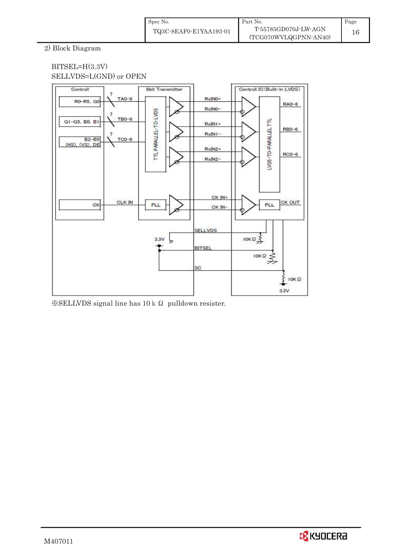2) Block Diagram

### BITSEL=H(3.3V) SELLVDS=L(GND) or OPEN



 $\frac{1}{2}$ SELLVDS signal line has 10 k  $\Omega$  pulldown resister.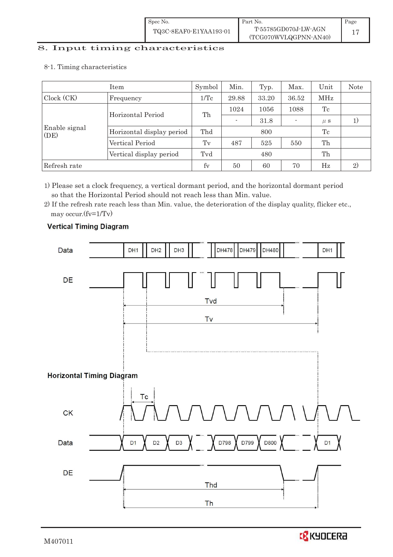# 8. Input timing characteristics  $\overline{a}$

8-1. Timing characteristics

|                       | Item                      | Symbol  | Min.                     | Typ.  | Max.  | Unit    | <b>Note</b> |
|-----------------------|---------------------------|---------|--------------------------|-------|-------|---------|-------------|
| Clock (CK)            | Frequency                 | 1/Tc    | 29.88                    | 33.20 | 36.52 | MHz     |             |
|                       | Horizontal Period         | Th      | 1024                     | 1056  | 1088  | Tc      |             |
|                       |                           |         | $\overline{\phantom{a}}$ | 31.8  |       | $\mu$ S |             |
| Enable signal<br>(DE) | Horizontal display period | Thd     |                          | 800   |       | Tc      |             |
|                       | Vertical Period           | $T_{V}$ | 487                      | 525   | 550   | Th      |             |
|                       | Vertical display period   | Tvd     |                          | 480   |       | Th      |             |
| Refresh rate          |                           | $f_V$   | 50                       | 60    | 70    | Hz      | 2)          |

1) Please set a clock frequency, a vertical dormant period, and the horizontal dormant period so that the Horizontal Period should not reach less than Min. value.

2) If the refresh rate reach less than Min. value, the deterioration of the display quality, flicker etc., may occur.(fv=1/Tv)



## **Vertical Timing Diagram**

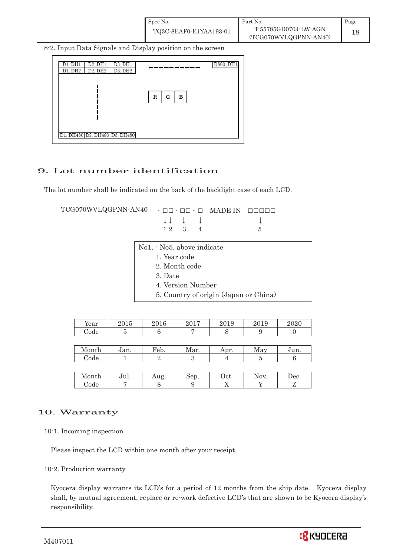8-2. Input Data Signals and Display position on the screen



## 9. Lot number identification

The lot number shall be indicated on the back of the backlight case of each LCD.

 $TCG070WVLQGPNN-AN40 -  $\Box\Box$  -  $\Box\Box$  -  $\Box$  MADE IN -  $\Box\Box\Box\Box\Box$$  $\downarrow \downarrow \quad \downarrow \quad \downarrow \qquad \qquad \downarrow$  $1 2 3 4 5$ 

> No1. - No5. above indicate 1. Year code 2. Month code 3. Date 4. Version Number

> > 5. Country of origin (Japan or China)

| Year | 001E<br>工业<br>ິ | ገበ1 ቦ<br>2016 | 2015 | റപറ<br>≀∪ ⊥ ( | 2019 | 0.000<br><u>uzu</u> |
|------|-----------------|---------------|------|---------------|------|---------------------|
| Code | -               |               |      |               |      |                     |

| M<br>onth | Jan. | Feb. | Mar. | Apr. | RЛ<br>$\Omega$<br><b>NR</b> | <b>BB</b><br>uu. |
|-----------|------|------|------|------|-----------------------------|------------------|
| Code      |      |      |      |      |                             |                  |

| Month | .<br>Jul. | $110^{\circ}$<br>പu≝ | Sep. | Oct.     | $\alpha$<br>$\triangle$ NUM | Dec. |
|-------|-----------|----------------------|------|----------|-----------------------------|------|
| ode:  |           |                      |      | <b>A</b> |                             |      |

## 10. Warranty

10-1. Incoming inspection

Please inspect the LCD within one month after your receipt.

#### 10-2. Production warranty

 Kyocera display warrants its LCD's for a period of 12 months from the ship date. Kyocera display shall, by mutual agreement, replace or re-work defective LCD's that are shown to be Kyocera display's responsibility.

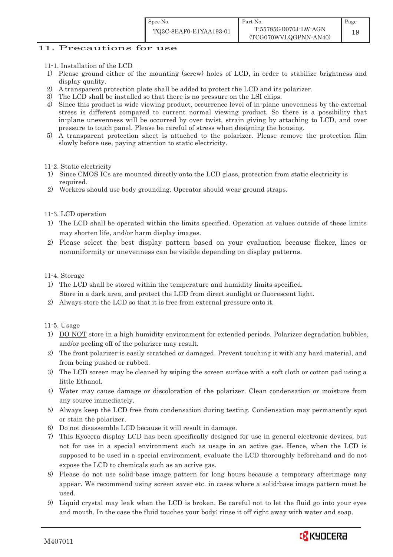Page 19

- 11-1. Installation of the LCD
- 1) Please ground either of the mounting (screw) holes of LCD, in order to stabilize brightness and display quality.
- 2) A transparent protection plate shall be added to protect the LCD and its polarizer.
- 3) The LCD shall be installed so that there is no pressure on the LSI chips.
- 4) Since this product is wide viewing product, occurrence level of in-plane unevenness by the external stress is different compared to current normal viewing product. So there is a possibility that in-plane unevenness will be occurred by over twist, strain giving by attaching to LCD, and over pressure to touch panel. Please be careful of stress when designing the housing.
- 5) A transparent protection sheet is attached to the polarizer. Please remove the protection film slowly before use, paying attention to static electricity.

11-2. Static electricity

- 1) Since CMOS ICs are mounted directly onto the LCD glass, protection from static electricity is required.
- 2) Workers should use body grounding. Operator should wear ground straps.

#### 11-3. LCD operation

- 1) The LCD shall be operated within the limits specified. Operation at values outside of these limits may shorten life, and/or harm display images.
- 2) Please select the best display pattern based on your evaluation because flicker, lines or nonuniformity or unevenness can be visible depending on display patterns.

#### 11-4. Storage

- 1) The LCD shall be stored within the temperature and humidity limits specified. Store in a dark area, and protect the LCD from direct sunlight or fluorescent light.
- 2) Always store the LCD so that it is free from external pressure onto it.

#### 11-5. Usage

- 1) DO NOT store in a high humidity environment for extended periods. Polarizer degradation bubbles, and/or peeling off of the polarizer may result.
- 2) The front polarizer is easily scratched or damaged. Prevent touching it with any hard material, and from being pushed or rubbed.
- 3) The LCD screen may be cleaned by wiping the screen surface with a soft cloth or cotton pad using a little Ethanol.
- 4) Water may cause damage or discoloration of the polarizer. Clean condensation or moisture from any source immediately.
- 5) Always keep the LCD free from condensation during testing. Condensation may permanently spot or stain the polarizer.
- 6) Do not disassemble LCD because it will result in damage.
- 7) This Kyocera display LCD has been specifically designed for use in general electronic devices, but not for use in a special environment such as usage in an active gas. Hence, when the LCD is supposed to be used in a special environment, evaluate the LCD thoroughly beforehand and do not expose the LCD to chemicals such as an active gas.
- 8) Please do not use solid-base image pattern for long hours because a temporary afterimage may appear. We recommend using screen saver etc. in cases where a solid-base image pattern must be used.
- 9) Liquid crystal may leak when the LCD is broken. Be careful not to let the fluid go into your eyes and mouth. In the case the fluid touches your body; rinse it off right away with water and soap.

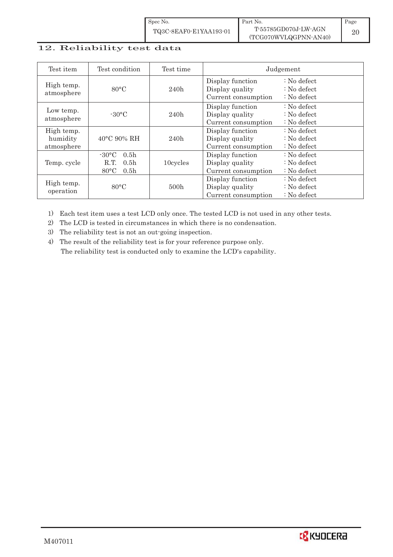| Spec No.               | Part No.              | Page |
|------------------------|-----------------------|------|
| TQ3C-8EAF0-E1YAA193-01 | T-55785GD070J-LW-AGN  |      |
|                        | (TCG070WVLQGPNN-AN40) |      |

# 12. Reliability test data

| Test item                            | Test condition                                                                                       | Test time |                                                            | Judgement                                                |
|--------------------------------------|------------------------------------------------------------------------------------------------------|-----------|------------------------------------------------------------|----------------------------------------------------------|
| High temp.<br>atmosphere             | $80^{\circ}$ C                                                                                       | 240h      | Display function<br>Display quality<br>Current consumption | $: No$ defect<br>$: No$ defect<br>$: No$ defect          |
| Low temp.<br>atmosphere              | $-30\degree C$                                                                                       | 240h      | Display function<br>Display quality<br>Current consumption | $\therefore$ No defect<br>$: No$ defect<br>$: No$ defect |
| High temp.<br>humidity<br>atmosphere | $40^{\circ}$ C 90% RH                                                                                | 240h      | Display function<br>Display quality<br>Current consumption | $: No$ defect<br>$: No$ defect<br>$: No$ defect          |
| Temp. cycle                          | $-30\degree C$<br>0.5 <sub>h</sub><br>0.5 <sub>h</sub><br>R.T.<br>$80^{\circ}$ C<br>0.5 <sub>h</sub> | 10cycles  | Display function<br>Display quality<br>Current consumption | $: No$ defect<br>$: No$ defect<br>$: No$ defect          |
| High temp.<br>operation              | 80°C                                                                                                 | 500h      | Display function<br>Display quality<br>Current consumption | $: No$ defect<br>: No defect<br>$: No$ defect            |

1) Each test item uses a test LCD only once. The tested LCD is not used in any other tests.

2) The LCD is tested in circumstances in which there is no condensation.

3) The reliability test is not an out-going inspection.

4) The result of the reliability test is for your reference purpose only. The reliability test is conducted only to examine the LCD's capability.

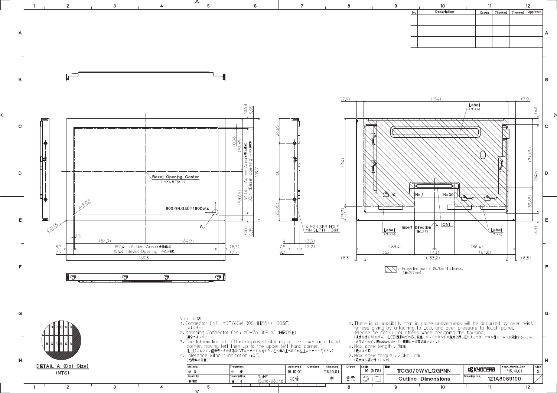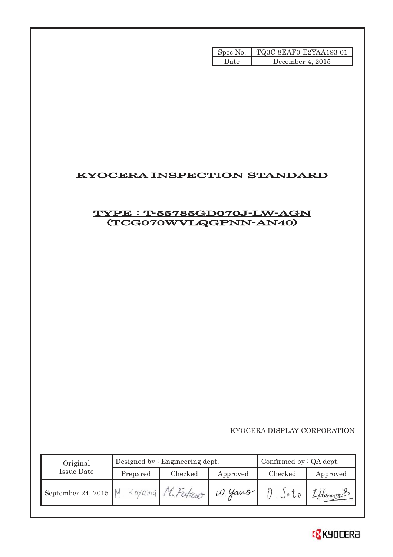|      | Spec No.   TQ3C-8EAF0-E2YAA193-01 |
|------|-----------------------------------|
| Date | December 4, $2015$                |

## KYOCERA INSPECTION STANDARD

## TYPE : T-55785GD070J-LW-AGN (TCG070WVLQGPNN-AN40)

KYOCERA DISPLAY CORPORATION

| Original           | Designed by $:$ Engineering dept. |         |          | Confirmed by $:QA$ dept. |          |
|--------------------|-----------------------------------|---------|----------|--------------------------|----------|
| Issue Date         | Prepared                          | Checked | Approved | Checked                  | Approved |
| September 24, 2015 | Koyama                            |         | W. Yano  | )eU                      | 1-Hamour |

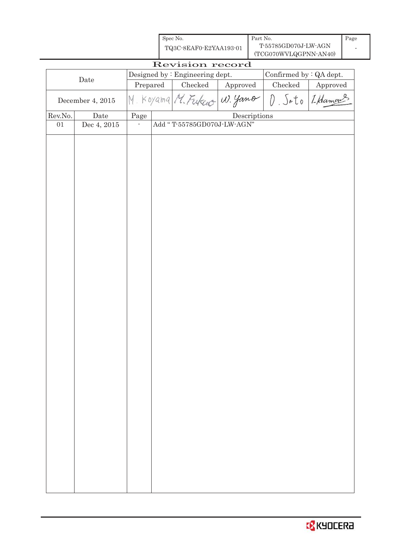| Spec No.               | Part No.              | Page |
|------------------------|-----------------------|------|
| TQ3C-8EAF0-E2YAA193-01 | T-55785GD070J-LW-AGN  |      |
|                        | (TCG070WVLQGPNN-AN40) |      |

-

| Revision record                                            |                      |          |  |                            |              |           |              |
|------------------------------------------------------------|----------------------|----------|--|----------------------------|--------------|-----------|--------------|
| Designed by : Engineering dept.<br>Confirmed by : QA dept. |                      |          |  |                            |              |           |              |
| Date                                                       |                      | Prepared |  | Checked                    | Approved     | Checked   | Approved     |
|                                                            | December 4, 2015     |          |  | M. Koyama M. Fukco W. yamo |              | $\hat{U}$ | Sato LHamans |
| Rev.No.                                                    | $\rm{\textbf{Date}}$ | Page     |  |                            | Descriptions |           |              |
| $01\,$                                                     | Dec 4, 2015          |          |  | Add "T-55785GD070J-LW-AGN" |              |           |              |
|                                                            |                      |          |  |                            |              |           |              |
|                                                            |                      |          |  |                            |              |           |              |
|                                                            |                      |          |  |                            |              |           |              |
|                                                            |                      |          |  |                            |              |           |              |
|                                                            |                      |          |  |                            |              |           |              |
|                                                            |                      |          |  |                            |              |           |              |
|                                                            |                      |          |  |                            |              |           |              |
|                                                            |                      |          |  |                            |              |           |              |
|                                                            |                      |          |  |                            |              |           |              |
|                                                            |                      |          |  |                            |              |           |              |
|                                                            |                      |          |  |                            |              |           |              |
|                                                            |                      |          |  |                            |              |           |              |
|                                                            |                      |          |  |                            |              |           |              |
|                                                            |                      |          |  |                            |              |           |              |
|                                                            |                      |          |  |                            |              |           |              |
|                                                            |                      |          |  |                            |              |           |              |
|                                                            |                      |          |  |                            |              |           |              |
|                                                            |                      |          |  |                            |              |           |              |
|                                                            |                      |          |  |                            |              |           |              |
|                                                            |                      |          |  |                            |              |           |              |
|                                                            |                      |          |  |                            |              |           |              |
|                                                            |                      |          |  |                            |              |           |              |
|                                                            |                      |          |  |                            |              |           |              |
|                                                            |                      |          |  |                            |              |           |              |
|                                                            |                      |          |  |                            |              |           |              |
|                                                            |                      |          |  |                            |              |           |              |
|                                                            |                      |          |  |                            |              |           |              |
|                                                            |                      |          |  |                            |              |           |              |
|                                                            |                      |          |  |                            |              |           |              |
|                                                            |                      |          |  |                            |              |           |              |
|                                                            |                      |          |  |                            |              |           |              |
|                                                            |                      |          |  |                            |              |           |              |
|                                                            |                      |          |  |                            |              |           |              |
|                                                            |                      |          |  |                            |              |           |              |
|                                                            |                      |          |  |                            |              |           |              |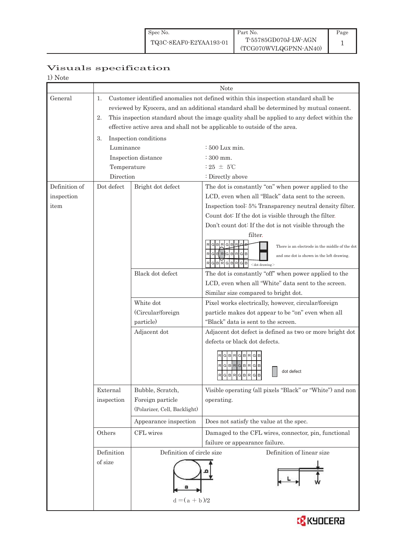## Visuals specification

1) Note

|                 |             | Note                                                                                       |                                                           |  |  |  |
|-----------------|-------------|--------------------------------------------------------------------------------------------|-----------------------------------------------------------|--|--|--|
| General         | 1.          | Customer identified anomalies not defined within this inspection standard shall be         |                                                           |  |  |  |
|                 |             | reviewed by Kyocera, and an additional standard shall be determined by mutual consent.     |                                                           |  |  |  |
|                 | 2.          | This inspection standard about the image quality shall be applied to any defect within the |                                                           |  |  |  |
|                 |             | effective active area and shall not be applicable to outside of the area.                  |                                                           |  |  |  |
|                 | 3.          | Inspection conditions                                                                      |                                                           |  |  |  |
|                 | Luminance   |                                                                                            | $\div 500$ Lux min.                                       |  |  |  |
|                 |             | Inspection distance                                                                        | $\div 300$ mm.                                            |  |  |  |
|                 | Temperature |                                                                                            | : 25 $\pm$ 5°C                                            |  |  |  |
|                 | Direction   |                                                                                            | : Directly above                                          |  |  |  |
| Definition of   | Dot defect  | Bright dot defect                                                                          | The dot is constantly "on" when power applied to the      |  |  |  |
| inspection      |             |                                                                                            | LCD, even when all "Black" data sent to the screen.       |  |  |  |
| item            |             |                                                                                            | Inspection tool: 5% Transparency neutral density filter.  |  |  |  |
|                 |             |                                                                                            | Count dot: If the dot is visible through the filter.      |  |  |  |
|                 |             |                                                                                            | Don't count dot: If the dot is not visible through the    |  |  |  |
|                 |             |                                                                                            | filter.                                                   |  |  |  |
|                 |             |                                                                                            | There is an electrode in the middle of the dot            |  |  |  |
|                 |             |                                                                                            | RGERGBRGB<br>and one dot is shown in the left drawing.    |  |  |  |
|                 |             |                                                                                            | G B<br> R <br>$<$ dot drawing $>$                         |  |  |  |
|                 |             | Black dot defect                                                                           | The dot is constantly "off" when power applied to the     |  |  |  |
|                 |             |                                                                                            | LCD, even when all "White" data sent to the screen.       |  |  |  |
|                 |             |                                                                                            | Similar size compared to bright dot.                      |  |  |  |
|                 |             | White dot                                                                                  | Pixel works electrically, however, circular/foreign       |  |  |  |
|                 |             | (Circular/foreign                                                                          | particle makes dot appear to be "on" even when all        |  |  |  |
|                 |             | particle)                                                                                  | "Black" data is sent to the screen.                       |  |  |  |
|                 |             | Adjacent dot                                                                               | Adjacent dot defect is defined as two or more bright dot  |  |  |  |
|                 |             |                                                                                            | defects or black dot defects.                             |  |  |  |
|                 |             |                                                                                            | RGBRGBRG                                                  |  |  |  |
|                 |             |                                                                                            | R G B R G B R G B                                         |  |  |  |
|                 |             |                                                                                            | dot defect<br>RGBRGBRGB                                   |  |  |  |
|                 |             |                                                                                            | لمطاط الماحا الماحات                                      |  |  |  |
|                 | External    | Bubble, Scratch,                                                                           | Visible operating (all pixels "Black" or "White") and non |  |  |  |
|                 | inspection  | Foreign particle                                                                           | operating.                                                |  |  |  |
|                 |             | (Polarizer, Cell, Backlight)                                                               |                                                           |  |  |  |
|                 |             | Appearance inspection                                                                      | Does not satisfy the value at the spec.                   |  |  |  |
|                 | Others      | CFL wires                                                                                  | Damaged to the CFL wires, connector, pin, functional      |  |  |  |
|                 |             |                                                                                            | failure or appearance failure.                            |  |  |  |
| Definition      |             | Definition of circle size                                                                  | Definition of linear size                                 |  |  |  |
|                 | of size     |                                                                                            |                                                           |  |  |  |
|                 |             |                                                                                            |                                                           |  |  |  |
| $d = (a + b)/2$ |             |                                                                                            |                                                           |  |  |  |